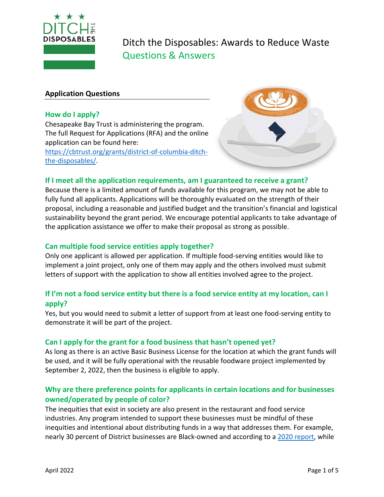

### **Application Questions**

#### **How do I apply?**

Chesapeake Bay Trust is administering the program. The full Request for Applications (RFA) and the online application can be found here: [https://cbtrust.org/grants/district-of-columbia-ditch-](https://cbtrust.org/grants/district-of-columbia-ditch-the-disposables/)

[the-disposables/.](https://cbtrust.org/grants/district-of-columbia-ditch-the-disposables/)



## **If I meet all the application requirements, am I guaranteed to receive a grant?**

Because there is a limited amount of funds available for this program, we may not be able to fully fund all applicants. Applications will be thoroughly evaluated on the strength of their proposal, including a reasonable and justified budget and the transition's financial and logistical sustainability beyond the grant period. We encourage potential applicants to take advantage of the application assistance we offer to make their proposal as strong as possible.

#### **Can multiple food service entities apply together?**

Only one applicant is allowed per application. If multiple food-serving entities would like to implement a joint project, only one of them may apply and the others involved must submit letters of support with the application to show all entities involved agree to the project.

## **If I'm not a food service entity but there is a food service entity at my location, can I apply?**

Yes, but you would need to submit a letter of support from at least one food-serving entity to demonstrate it will be part of the project.

## **Can I apply for the grant for a food business that hasn't opened yet?**

As long as there is an active Basic Business License for the location at which the grant funds will be used, and it will be fully operational with the reusable foodware project implemented by September 2, 2022, then the business is eligible to apply.

# **Why are there preference points for applicants in certain locations and for businesses owned/operated by people of color?**

The inequities that exist in society are also present in the restaurant and food service industries. Any program intended to support these businesses must be mindful of these inequities and intentional about distributing funds in a way that addresses them. For example, nearly 30 percent of District businesses are Black-owned and according to a [2020 report,](https://centercityphila.org/uploads/attachments/ckdrsnu752hzmlxqdy3v7jdmh-business-density-report-2020.pdf) while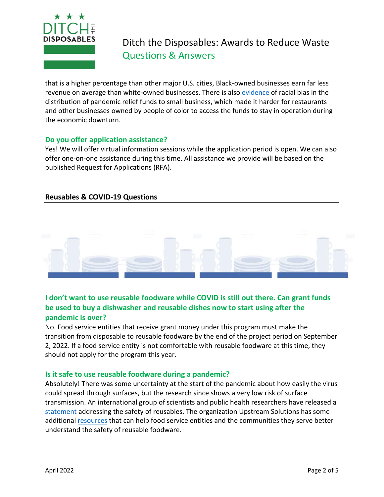

that is a higher percentage than other major U.S. cities, Black-owned businesses earn far less revenue on average than white-owned businesses. There is als[o evidence](https://www.brookings.edu/research/new-data-shows-small-businesses-in-communities-of-color-had-unequal-access-to-federal-covid-19-relief/) of racial bias in the distribution of pandemic relief funds to small business, which made it harder for restaurants and other businesses owned by people of color to access the funds to stay in operation during the economic downturn.

## **Do you offer application assistance?**

Yes! We will offer virtual information sessions while the application period is open. We can also offer one-on-one assistance during this time. All assistance we provide will be based on the published Request for Applications (RFA).

## **Reusables & COVID-19 Questions**



# **I don't want to use reusable foodware while COVID is still out there. Can grant funds be used to buy a dishwasher and reusable dishes now to start using after the pandemic is over?**

No. Food service entities that receive grant money under this program must make the transition from disposable to reusable foodware by the end of the project period on September 2, 2022. If a food service entity is not comfortable with reusable foodware at this time, they should not apply for the program this year.

## **Is it safe to use reusable foodware during a pandemic?**

Absolutely! There was some uncertainty at the start of the pandemic about how easily the virus could spread through surfaces, but the research since shows a very low risk of surface transmission. An international group of scientists and public health researchers have released a [statement](https://static1.squarespace.com/static/5f218f677f1fdb38f06cebcb/t/5f2440cc6a74cc6a860708b4/1596211404419/Health+Expert+Statement+Version+9.pdf) addressing the safety of reusables. The organization Upstream Solutions has some additiona[l resources](https://upstreamsolutions.org/reuse-vs-singleuse-safety) that can help food service entities and the communities they serve better understand the safety of reusable foodware.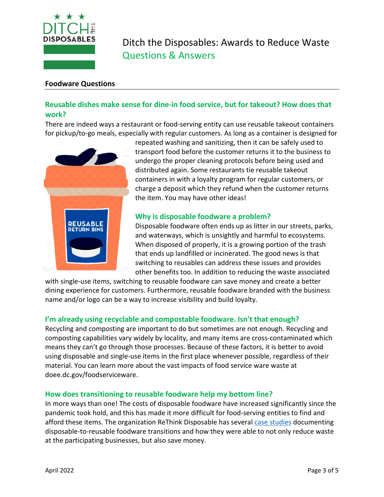

#### **Foodware Questions**

# **Reusable dishes make sense for dine-in food service, but for takeout? How does that work?**

There are indeed ways a restaurant or food-serving entity can use reusable takeout containers for pickup/to-go meals, especially with regular customers. As long as a container is designed for



repeated washing and sanitizing, then it can be safely used to transport food before the customer returns it to the business to undergo the proper cleaning protocols before being used and distributed again. Some restaurants tie reusable takeout containers in with a loyalty program for regular customers, or charge a deposit which they refund when the customer returns the item. You may have other ideas!

## **Why is disposable foodware a problem?**

Disposable foodware often ends up as litter in our streets, parks, and waterways, which is unsightly and harmful to ecosystems. When disposed of properly, it is a growing portion of the trash that ends up landfilled or incinerated. The good news is that switching to reusables can address these issues and provides other benefits too. In addition to reducing the waste associated

with single-use items, switching to reusable foodware can save money and create a better dining experience for customers. Furthermore, reusable foodware branded with the business name and/or logo can be a way to increase visibility and build loyalty.

## **I'm already using recyclable and compostable foodware. Isn't that enough?**

Recycling and composting are important to do but sometimes are not enough. Recycling and composting capabilities vary widely by locality, and many items are cross-contaminated which means they can't go through those processes. Because of these factors, it is better to avoid using disposable and single-use items in the first place whenever possible, regardless of their material. You can learn more about the vast impacts of food service ware waste at doee.dc.gov/foodserviceware.

#### **How does transitioning to reusable foodware help my bottom line?**

In more ways than one! The costs of disposable foodware have increased significantly since the pandemic took hold, and this has made it more difficult for food-serving entities to find and afford these items. The organization ReThink Disposable has several [case studies](http://www.rethinkdisposable.org/businesses) documenting disposable-to-reusable foodware transitions and how they were able to not only reduce waste at the participating businesses, but also save money.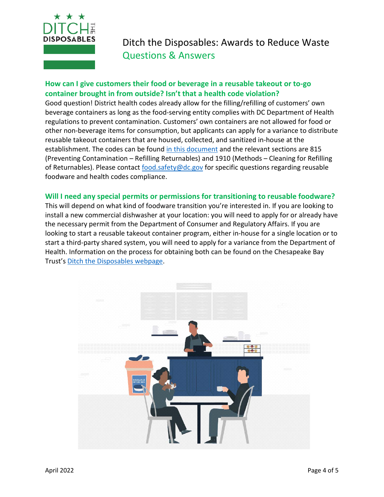

# **How can I give customers their food or beverage in a reusable takeout or to-go container brought in from outside? Isn't that a health code violation?**

Good question! District health codes already allow for the filling/refilling of customers' own beverage containers as long as the food-serving entity complies with DC Department of Health regulations to prevent contamination. Customers' own containers are not allowed for food or other non-beverage items for consumption, but applicants can apply for a variance to distribute reusable takeout containers that are housed, collected, and sanitized in-house at the establishment. The codes can be found [in this document](https://doh.dc.gov/sites/default/files/dc/sites/doh/publication/attachments/DC%20Register_Nov_30_2012_Final%20Rulemaking_DOH%20-%2025A%20DCMR%20-%20Food%20and%20Food%20Operationspdf.pdf) and the relevant sections are 815 (Preventing Contamination – Refilling Returnables) and 1910 (Methods – Cleaning for Refilling of Returnables). Please contact [food.safety@dc.gov](mailto:food.safety@dc.gov) for specific questions regarding reusable foodware and health codes compliance.

#### **Will I need any special permits or permissions for transitioning to reusable foodware?**

This will depend on what kind of foodware transition you're interested in. If you are looking to install a new commercial dishwasher at your location: you will need to apply for or already have the necessary permit from the Department of Consumer and Regulatory Affairs. If you are looking to start a reusable takeout container program, either in-house for a single location or to start a third-party shared system, you will need to apply for a variance from the Department of Health. Information on the process for obtaining both can be found on the Chesapeake Bay Trust's [Ditch the Disposables webpage.](https://cbtrust.org/grants/district-of-columbia-ditch-the-disposables/)